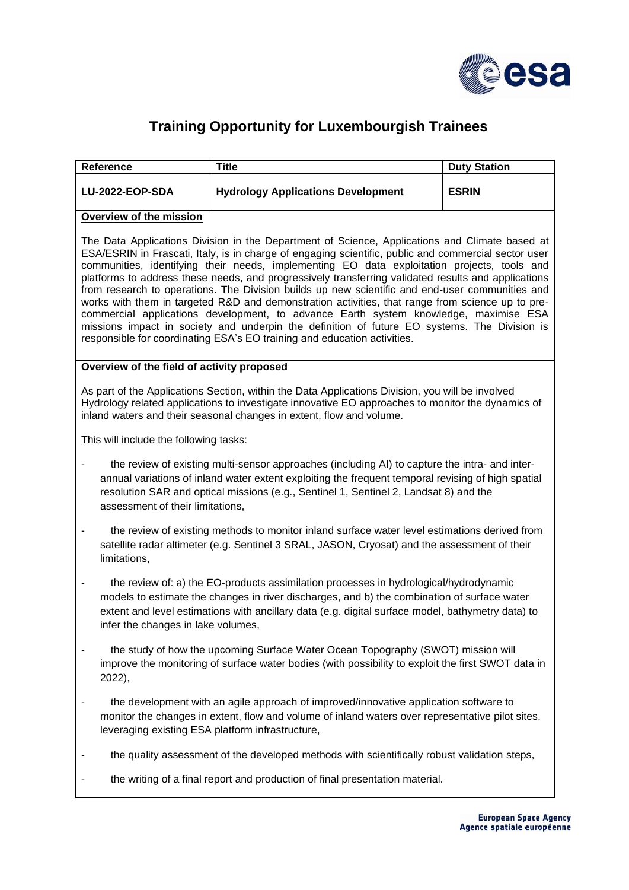

## **Training Opportunity for Luxembourgish Trainees**

| Reference                                                                                                                                                                                                                                                                                                                                                                                                                                                                                                                                                                                                                                                                                                                                                                                                                                                                               | <b>Title</b>                              | <b>Duty Station</b> |
|-----------------------------------------------------------------------------------------------------------------------------------------------------------------------------------------------------------------------------------------------------------------------------------------------------------------------------------------------------------------------------------------------------------------------------------------------------------------------------------------------------------------------------------------------------------------------------------------------------------------------------------------------------------------------------------------------------------------------------------------------------------------------------------------------------------------------------------------------------------------------------------------|-------------------------------------------|---------------------|
| LU-2022-EOP-SDA                                                                                                                                                                                                                                                                                                                                                                                                                                                                                                                                                                                                                                                                                                                                                                                                                                                                         | <b>Hydrology Applications Development</b> | <b>ESRIN</b>        |
| <b>Overview of the mission</b>                                                                                                                                                                                                                                                                                                                                                                                                                                                                                                                                                                                                                                                                                                                                                                                                                                                          |                                           |                     |
| The Data Applications Division in the Department of Science, Applications and Climate based at<br>ESA/ESRIN in Frascati, Italy, is in charge of engaging scientific, public and commercial sector user<br>communities, identifying their needs, implementing EO data exploitation projects, tools and<br>platforms to address these needs, and progressively transferring validated results and applications<br>from research to operations. The Division builds up new scientific and end-user communities and<br>works with them in targeted R&D and demonstration activities, that range from science up to pre-<br>commercial applications development, to advance Earth system knowledge, maximise ESA<br>missions impact in society and underpin the definition of future EO systems. The Division is<br>responsible for coordinating ESA's EO training and education activities. |                                           |                     |
| Overview of the field of activity proposed                                                                                                                                                                                                                                                                                                                                                                                                                                                                                                                                                                                                                                                                                                                                                                                                                                              |                                           |                     |
| As part of the Applications Section, within the Data Applications Division, you will be involved<br>Hydrology related applications to investigate innovative EO approaches to monitor the dynamics of<br>inland waters and their seasonal changes in extent, flow and volume.                                                                                                                                                                                                                                                                                                                                                                                                                                                                                                                                                                                                           |                                           |                     |
| This will include the following tasks:                                                                                                                                                                                                                                                                                                                                                                                                                                                                                                                                                                                                                                                                                                                                                                                                                                                  |                                           |                     |
| the review of existing multi-sensor approaches (including AI) to capture the intra- and inter-<br>-<br>annual variations of inland water extent exploiting the frequent temporal revising of high spatial<br>resolution SAR and optical missions (e.g., Sentinel 1, Sentinel 2, Landsat 8) and the<br>assessment of their limitations,                                                                                                                                                                                                                                                                                                                                                                                                                                                                                                                                                  |                                           |                     |
| the review of existing methods to monitor inland surface water level estimations derived from<br>-<br>satellite radar altimeter (e.g. Sentinel 3 SRAL, JASON, Cryosat) and the assessment of their<br>limitations,                                                                                                                                                                                                                                                                                                                                                                                                                                                                                                                                                                                                                                                                      |                                           |                     |
| the review of: a) the EO-products assimilation processes in hydrological/hydrodynamic<br>۰<br>models to estimate the changes in river discharges, and b) the combination of surface water<br>extent and level estimations with ancillary data (e.g. digital surface model, bathymetry data) to<br>infer the changes in lake volumes,                                                                                                                                                                                                                                                                                                                                                                                                                                                                                                                                                    |                                           |                     |
| the study of how the upcoming Surface Water Ocean Topography (SWOT) mission will<br>improve the monitoring of surface water bodies (with possibility to exploit the first SWOT data in<br>2022),                                                                                                                                                                                                                                                                                                                                                                                                                                                                                                                                                                                                                                                                                        |                                           |                     |
| the development with an agile approach of improved/innovative application software to<br>۰<br>monitor the changes in extent, flow and volume of inland waters over representative pilot sites,<br>leveraging existing ESA platform infrastructure,                                                                                                                                                                                                                                                                                                                                                                                                                                                                                                                                                                                                                                      |                                           |                     |
| the quality assessment of the developed methods with scientifically robust validation steps,<br>-                                                                                                                                                                                                                                                                                                                                                                                                                                                                                                                                                                                                                                                                                                                                                                                       |                                           |                     |
| the writing of a final report and production of final presentation material.                                                                                                                                                                                                                                                                                                                                                                                                                                                                                                                                                                                                                                                                                                                                                                                                            |                                           |                     |